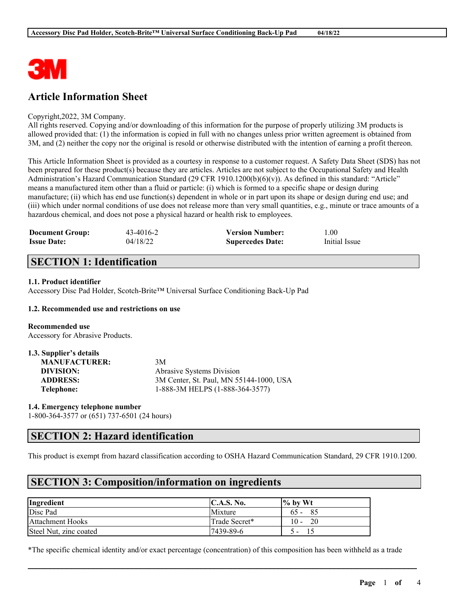

# **Article Information Sheet**

### Copyright,2022, 3M Company.

All rights reserved. Copying and/or downloading of this information for the purpose of properly utilizing 3M products is allowed provided that: (1) the information is copied in full with no changes unless prior written agreement is obtained from 3M, and (2) neither the copy nor the original is resold or otherwise distributed with the intention of earning a profit thereon.

This Article Information Sheet is provided as a courtesy in response to a customer request. A Safety Data Sheet (SDS) has not been prepared for these product(s) because they are articles. Articles are not subject to the Occupational Safety and Health Administration's Hazard Communication Standard (29 CFR 1910.1200(b)(6)(v)). As defined in this standard: "Article" means a manufactured item other than a fluid or particle: (i) which is formed to a specific shape or design during manufacture; (ii) which has end use function(s) dependent in whole or in part upon its shape or design during end use; and (iii) which under normal conditions of use does not release more than very small quantities, e.g., minute or trace amounts of a hazardous chemical, and does not pose a physical hazard or health risk to employees.

| <b>Document Group:</b> | 43-4016-2 | <b>Version Number:</b>  | 1.00          |
|------------------------|-----------|-------------------------|---------------|
| <b>Issue Date:</b>     | 04/18/22  | <b>Supercedes Date:</b> | Initial Issue |

## **SECTION 1: Identification**

### **1.1. Product identifier**

Accessory Disc Pad Holder, Scotch-Brite™ Universal Surface Conditioning Back-Up Pad

### **1.2. Recommended use and restrictions on use**

**Recommended use** Accessory for Abrasive Products.

| 1.3. Supplier's details |                                         |
|-------------------------|-----------------------------------------|
| <b>MANUFACTURER:</b>    | 3M                                      |
| DIVISION:               | Abrasive Systems Division               |
| <b>ADDRESS:</b>         | 3M Center, St. Paul, MN 55144-1000, USA |
| Telephone:              | 1-888-3M HELPS (1-888-364-3577)         |

**1.4. Emergency telephone number** 1-800-364-3577 or (651) 737-6501 (24 hours)

## **SECTION 2: Hazard identification**

This product is exempt from hazard classification according to OSHA Hazard Communication Standard, 29 CFR 1910.1200.

## **SECTION 3: Composition/information on ingredients**

| Ingredient              | <b>IC.A.S. No.</b> | $\frac{1}{6}$ by Wt |
|-------------------------|--------------------|---------------------|
| Disc Pad                | Mixture            | 85<br>$65 -$        |
| <b>Attachment Hooks</b> | Trade Secret*      | 20<br>$10 -$        |
| Steel Nut, zinc coated  | $17439 - 89 - 6$   |                     |

\*The specific chemical identity and/or exact percentage (concentration) of this composition has been withheld as a trade

 $\mathcal{L}_\mathcal{L} = \mathcal{L}_\mathcal{L} = \mathcal{L}_\mathcal{L} = \mathcal{L}_\mathcal{L} = \mathcal{L}_\mathcal{L} = \mathcal{L}_\mathcal{L} = \mathcal{L}_\mathcal{L} = \mathcal{L}_\mathcal{L} = \mathcal{L}_\mathcal{L} = \mathcal{L}_\mathcal{L} = \mathcal{L}_\mathcal{L} = \mathcal{L}_\mathcal{L} = \mathcal{L}_\mathcal{L} = \mathcal{L}_\mathcal{L} = \mathcal{L}_\mathcal{L} = \mathcal{L}_\mathcal{L} = \mathcal{L}_\mathcal{L}$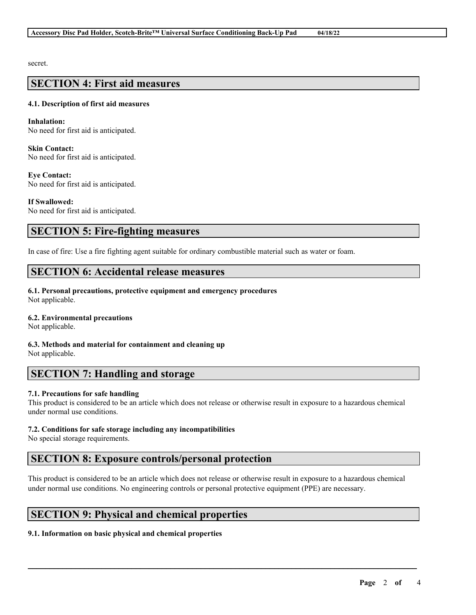secret.

## **SECTION 4: First aid measures**

### **4.1. Description of first aid measures**

**Inhalation:** No need for first aid is anticipated.

**Skin Contact:** No need for first aid is anticipated.

**Eye Contact:** No need for first aid is anticipated.

**If Swallowed:** No need for first aid is anticipated.

## **SECTION 5: Fire-fighting measures**

In case of fire: Use a fire fighting agent suitable for ordinary combustible material such as water or foam.

## **SECTION 6: Accidental release measures**

**6.1. Personal precautions, protective equipment and emergency procedures** Not applicable.

### **6.2. Environmental precautions**

Not applicable.

**6.3. Methods and material for containment and cleaning up** Not applicable.

## **SECTION 7: Handling and storage**

### **7.1. Precautions for safe handling**

This product is considered to be an article which does not release or otherwise result in exposure to a hazardous chemical under normal use conditions.

### **7.2. Conditions for safe storage including any incompatibilities**

No special storage requirements.

# **SECTION 8: Exposure controls/personal protection**

This product is considered to be an article which does not release or otherwise result in exposure to a hazardous chemical under normal use conditions. No engineering controls or personal protective equipment (PPE) are necessary.

 $\mathcal{L}_\mathcal{L} = \mathcal{L}_\mathcal{L} = \mathcal{L}_\mathcal{L} = \mathcal{L}_\mathcal{L} = \mathcal{L}_\mathcal{L} = \mathcal{L}_\mathcal{L} = \mathcal{L}_\mathcal{L} = \mathcal{L}_\mathcal{L} = \mathcal{L}_\mathcal{L} = \mathcal{L}_\mathcal{L} = \mathcal{L}_\mathcal{L} = \mathcal{L}_\mathcal{L} = \mathcal{L}_\mathcal{L} = \mathcal{L}_\mathcal{L} = \mathcal{L}_\mathcal{L} = \mathcal{L}_\mathcal{L} = \mathcal{L}_\mathcal{L}$ 

# **SECTION 9: Physical and chemical properties**

## **9.1. Information on basic physical and chemical properties**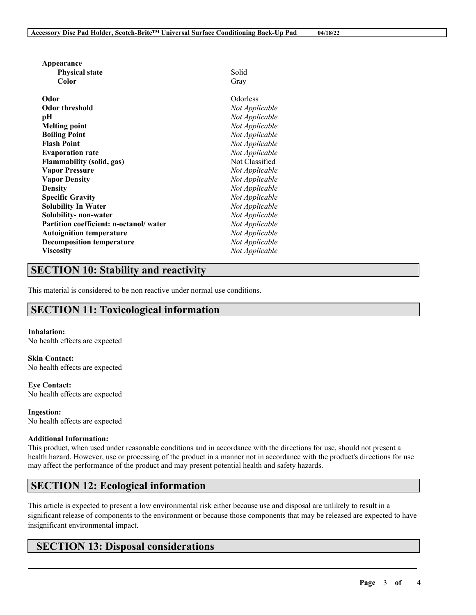| Appearance                             |                |
|----------------------------------------|----------------|
| <b>Physical state</b>                  | Solid          |
| Color                                  | Gray           |
| Odor                                   | Odorless       |
| Odor threshold                         | Not Applicable |
| pН                                     | Not Applicable |
| <b>Melting point</b>                   | Not Applicable |
| <b>Boiling Point</b>                   | Not Applicable |
| <b>Flash Point</b>                     | Not Applicable |
| <b>Evaporation rate</b>                | Not Applicable |
| Flammability (solid, gas)              | Not Classified |
| <b>Vapor Pressure</b>                  | Not Applicable |
| <b>Vapor Density</b>                   | Not Applicable |
| <b>Density</b>                         | Not Applicable |
| <b>Specific Gravity</b>                | Not Applicable |
| <b>Solubility In Water</b>             | Not Applicable |
| Solubility- non-water                  | Not Applicable |
| Partition coefficient: n-octanol/water | Not Applicable |
| <b>Autoignition temperature</b>        | Not Applicable |
| <b>Decomposition temperature</b>       | Not Applicable |
| <b>Viscosity</b>                       | Not Applicable |

# **SECTION 10: Stability and reactivity**

This material is considered to be non reactive under normal use conditions.

# **SECTION 11: Toxicological information**

### **Inhalation:**

No health effects are expected

**Skin Contact:** No health effects are expected

**Eye Contact:** No health effects are expected

**Ingestion:** No health effects are expected

### **Additional Information:**

This product, when used under reasonable conditions and in accordance with the directions for use, should not present a health hazard. However, use or processing of the product in a manner not in accordance with the product's directions for use may affect the performance of the product and may present potential health and safety hazards.

# **SECTION 12: Ecological information**

This article is expected to present a low environmental risk either because use and disposal are unlikely to result in a significant release of components to the environment or because those components that may be released are expected to have insignificant environmental impact.

 $\mathcal{L}_\mathcal{L} = \mathcal{L}_\mathcal{L} = \mathcal{L}_\mathcal{L} = \mathcal{L}_\mathcal{L} = \mathcal{L}_\mathcal{L} = \mathcal{L}_\mathcal{L} = \mathcal{L}_\mathcal{L} = \mathcal{L}_\mathcal{L} = \mathcal{L}_\mathcal{L} = \mathcal{L}_\mathcal{L} = \mathcal{L}_\mathcal{L} = \mathcal{L}_\mathcal{L} = \mathcal{L}_\mathcal{L} = \mathcal{L}_\mathcal{L} = \mathcal{L}_\mathcal{L} = \mathcal{L}_\mathcal{L} = \mathcal{L}_\mathcal{L}$ 

# **SECTION 13: Disposal considerations**